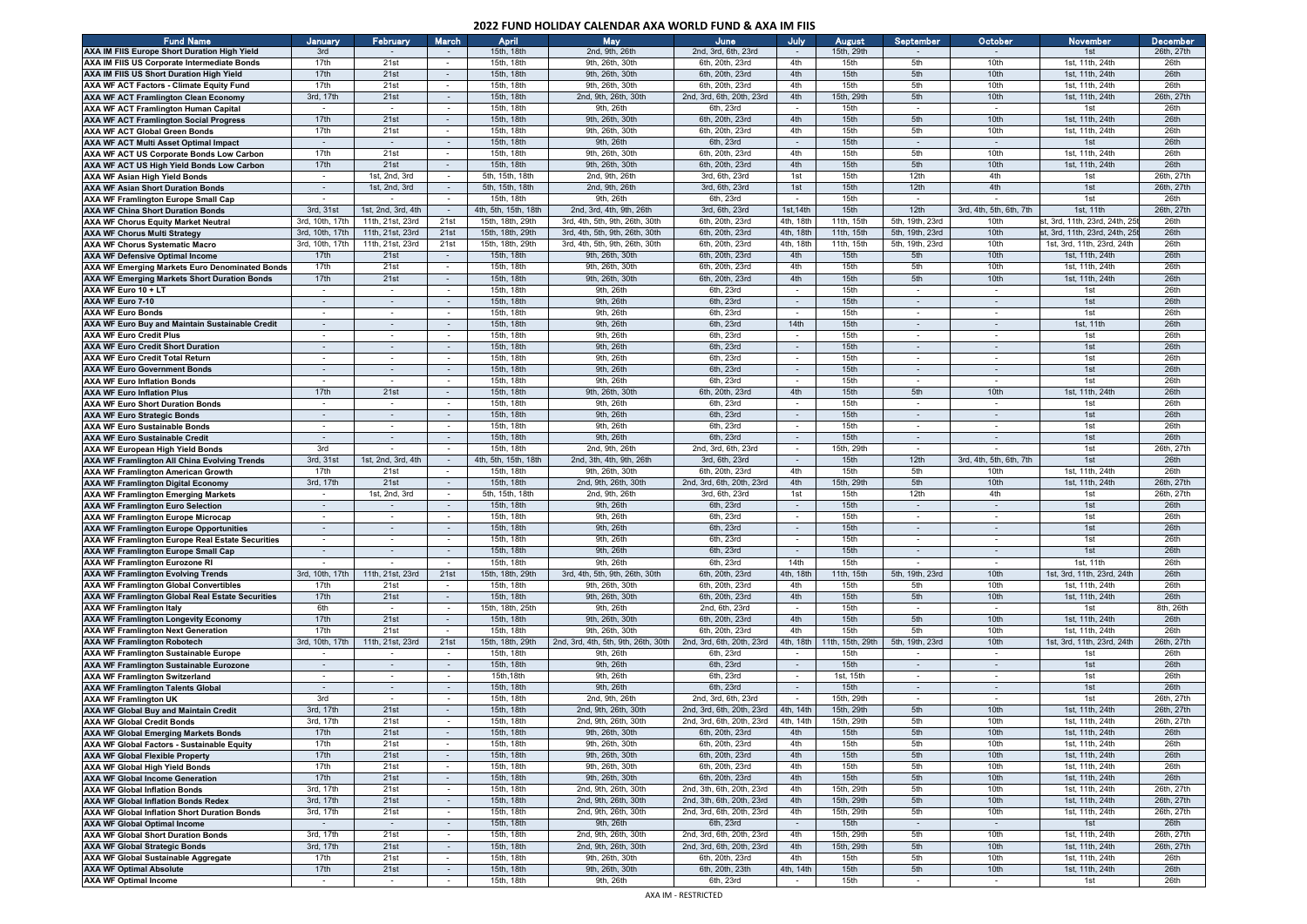## **2022 FUND HOLIDAY CALENDAR AXA WORLD FUND & AXA IM FIIS**

| <b>Fund Name</b>                                  | January                  | February                 | March                    | April                | <b>May</b>                          | June                      | July                     | <b>August</b>    | September                | October                  | November                      | <b>December</b> |
|---------------------------------------------------|--------------------------|--------------------------|--------------------------|----------------------|-------------------------------------|---------------------------|--------------------------|------------------|--------------------------|--------------------------|-------------------------------|-----------------|
| AXA IM FIIS Europe Short Duration High Yield      | 3rd                      |                          |                          | 15th, 18th           | 2nd, 9th, 26th                      | 2nd, 3rd, 6th, 23rd       |                          | 15th, 29th       |                          |                          | 1st                           | 26th, 27th      |
| AXA IM FIIS US Corporate Intermediate Bonds       | 17th                     | 21st                     | $\sim$                   | 15th, 18th           | 9th, 26th, 30th                     | 6th, 20th, 23rd           | 4th                      | 15th             | 5th                      | 10th                     | 1st, 11th, 24th               | 26th            |
| <b>AXA IM FIIS US Short Duration High Yield</b>   | 17th                     | 21st                     | $\sim$                   | 15th, 18th           | 9th, 26th, 30th                     | 6th, 20th, 23rd           | 4th                      | 15th             | 5th                      | 10th                     | 1st, 11th, 24th               | 26th            |
| AXA WF ACT Factors - Climate Equity Fund          | 17th                     | 21st                     | $\sim$                   | 15th, 18th           | 9th, 26th, 30th                     | 6th, 20th, 23rd           | 4th                      | 15th             | 5th                      | 10th                     | 1st, 11th, 24th               | 26th            |
| <b>AXA WF ACT Framlington Clean Economy</b>       | 3rd, 17th                | 21st                     |                          | 15th, 18th           | 2nd, 9th, 26th, 30th                | 2nd, 3rd, 6th, 20th, 23rd | 4th                      | 15th, 29th       | 5th                      | 10th                     | 1st, 11th, 24th               | 26th, 27th      |
|                                                   |                          |                          |                          | 15th, 18th           | 9th, 26th                           | 6th, 23rd                 |                          | 15th             |                          | $\overline{\phantom{a}}$ | 1st                           | 26th            |
| AXA WF ACT Framlington Human Capital              | $\overline{\phantom{a}}$ | $\overline{\phantom{a}}$ | $\overline{\phantom{a}}$ |                      |                                     |                           |                          |                  |                          |                          |                               |                 |
| <b>AXA WF ACT Framlington Social Progress</b>     | 17th                     | 21st                     | $\sim$                   | 15th, 18th           | 9th, 26th, 30th                     | 6th, 20th, 23rd           | 4th                      | 15th             | 5th                      | 10th                     | 1st, 11th, 24th               | 26th            |
| <b>AXA WF ACT Global Green Bonds</b>              | 17th                     | 21st                     |                          | 15th, 18th           | 9th, 26th, 30th                     | 6th, 20th, 23rd           | 4th                      | 15th             | 5th                      | 10th                     | 1st, 11th, 24th               | 26th            |
| <b>AXA WF ACT Multi Asset Optimal Impact</b>      | $\sim$                   | $\sim$                   | $\sim$                   | 15th, 18th           | 9th, 26th                           | 6th, 23rd                 | $\sim$                   | 15th             | $\sim$                   | $\sim$                   | 1st                           | 26th            |
| AXA WF ACT US Corporate Bonds Low Carbon          | 17th                     | 21st                     | $\sim$                   | 15th, 18th           | 9th, 26th, 30th                     | 6th, 20th, 23rd           | 4th                      | 15th             | 5th                      | 10th                     | 1st, 11th, 24th               | 26th            |
| AXA WF ACT US High Yield Bonds Low Carbon         | 17th                     | 21st                     | $\sim$                   | 15th, 18th           | 9th, 26th, 30th                     | 6th, 20th, 23rd           | 4th                      | 15th             | 5th                      | 10th                     | 1st, 11th, 24th               | 26th            |
| AXA WF Asian High Yield Bonds                     | $\sim$                   | 1st, 2nd, 3rd            | $\overline{\phantom{a}}$ | 5th, 15th, 18th      | 2nd, 9th, 26th                      | 3rd, 6th, 23rd            | 1st                      | 15th             | 12th                     | 4th                      | 1st                           | 26th, 27th      |
| <b>AXA WF Asian Short Duration Bonds</b>          | $\sim$                   | 1st, 2nd, 3rd            | $\sim$                   | 5th, 15th, 18th      | 2nd, 9th, 26th                      | 3rd, 6th, 23rd            | 1st                      | 15th             | 12th                     | 4th                      | 1st                           | 26th, 27th      |
| <b>AXA WF Framlington Europe Small Cap</b>        |                          |                          | $\sim$                   | 15th, 18th           | 9th, 26th                           | 6th, 23rd                 |                          | 15th             |                          |                          | 1st                           | 26th            |
| <b>AXA WF China Short Duration Bonds</b>          | 3rd, 31st                | 1st, 2nd, 3rd, 4th       | $\sim$                   | 4th, 5th, 15th, 18th | 2nd, 3rd, 4th, 9th, 26th            | 3rd, 6th, 23rd            | 1st. 14th                | 15th             | 12th                     | 3rd. 4th, 5th, 6th, 7th  | 1st, 11th                     | 26th, 27th      |
| <b>AXA WF Chorus Equity Market Neutral</b>        | 3rd, 10th, 17th          | 11th, 21st, 23rd         | 21st                     | 15th, 18th, 29th     | 3rd. 4th. 5th. 9th. 26th. 30th      | 6th, 20th, 23rd           | 4th, 18th                | 11th, 15th       | 5th, 19th, 23rd          | 10th                     | st, 3rd, 11th, 23rd, 24th, 25 | 26th            |
|                                                   |                          | 11th, 21st, 23rd         |                          |                      | 3rd. 4th. 5th. 9th. 26th. 30th      |                           |                          |                  |                          |                          | st. 3rd. 11th. 23rd. 24th. 25 |                 |
| <b>AXA WF Chorus Multi Strategy</b>               | 3rd, 10th, 17th          |                          | 21st                     | 15th, 18th, 29th     |                                     | 6th, 20th, 23rd           | 4th, 18th                | 11th, 15th       | 5th, 19th, 23rd          | 10th                     |                               | 26th            |
| <b>AXA WF Chorus Systematic Macro</b>             | 3rd, 10th, 17th          | 11th, 21st, 23rd         | 21st                     | 15th, 18th, 29th     | 3rd, 4th, 5th, 9th, 26th, 30th      | 6th, 20th, 23rd           | 4th, 18th                | 11th, 15th       | 5th, 19th, 23rd          | 10th                     | 1st, 3rd, 11th, 23rd, 24th    | 26th            |
| <b>AXA WF Defensive Optimal Income</b>            | 17th                     | 21st                     | $\sim$                   | 15th, 18th           | 9th, 26th, 30th                     | 6th, 20th, 23rd           | 4th                      | 15th             | 5th                      | 10th                     | 1st, 11th, 24th               | 26th            |
| AXA WF Emerging Markets Euro Denominated Bonds    | 17th                     | 21st                     | $\overline{\phantom{a}}$ | 15th, 18th           | 9th, 26th, 30th                     | 6th, 20th, 23rd           | 4th                      | 15th             | 5th                      | 10th                     | 1st, 11th, 24th               | 26th            |
| AXA WF Emerging Markets Short Duration Bonds      | 17th                     | 21st                     | $\sim$                   | 15th, 18th           | 9th, 26th, 30th                     | 6th, 20th, 23rd           | 4th                      | 15th             | 5th                      | 10th                     | 1st, 11th, 24th               | 26th            |
| AXA WF Euro 10 + LT                               | $\sim$                   | $\sim$                   | $\sim$                   | 15th, 18th           | 9th, 26th                           | 6th, 23rd                 | $\sim$                   | 15th             | $\sim$                   | $\sim$                   | 1st                           | 26th            |
| AXA WF Euro 7-10                                  | $\sim$                   | $\sim$                   | $\sim$                   | 15th, 18th           | 9th, 26th                           | 6th, 23rd                 |                          | 15th             |                          | $\sim$                   | 1st                           | 26th            |
| <b>AXA WF Euro Bonds</b>                          | $\sim$                   | $\overline{\phantom{a}}$ | $\overline{\phantom{a}}$ | 15th, 18th           | 9th, 26th                           | 6th, 23rd                 |                          | 15th             | $\overline{\phantom{a}}$ | $\sim$                   | 1st                           | 26th            |
| AXA WF Euro Buy and Maintain Sustainable Credit   | $\sim$                   | $\sim$                   | $\sim$                   | 15th, 18th           | 9th, 26th                           | 6th, 23rd                 | 14th                     | 15th             | $\sim$                   | $\sim$                   | 1st, 11th                     | 26th            |
| <b>AXA WF Euro Credit Plus</b>                    | $\sim$                   | $\sim$                   | $\overline{\phantom{a}}$ | 15th, 18th           | 9th, 26th                           | 6th, 23rd                 | $\overline{\phantom{a}}$ | 15th             |                          | $\overline{\phantom{a}}$ | 1st                           | 26th            |
| <b>AXA WF Euro Credit Short Duration</b>          | $\sim$                   | $\sim$                   | $\sim$                   | 15th, 18th           | 9th, 26th                           | 6th, 23rd                 | $\sim$                   | 15th             | $\sim$                   | $\sim$                   | 1st                           | 26th            |
|                                                   | $\sim$                   | $\sim$                   |                          | 15th, 18th           | 9th, 26th                           | 6th, 23rd                 | $\sim$                   | 15th             |                          | $\sim$                   | 1st                           | 26th            |
| AXA WF Euro Credit Total Return                   |                          |                          |                          |                      |                                     |                           |                          |                  |                          |                          |                               |                 |
| <b>AXA WF Euro Government Bonds</b>               | $\sim$                   | $\sim$                   | $\sim$                   | 15th, 18th           | 9th, 26th                           | 6th, 23rd                 | $\sim$                   | 15th             | $\sim$                   | $\sim$                   | 1st                           | 26th            |
| <b>AXA WF Euro Inflation Bonds</b>                | $\sim$                   | $\sim$                   | $\sim$                   | 15th, 18th           | 9th, 26th                           | 6th, 23rd                 |                          | 15th             |                          | $\sim$                   | 1st                           | 26th            |
| <b>AXA WF Euro Inflation Plus</b>                 | 17th                     | 21st                     | $\sim$                   | 15th, 18th           | 9th, 26th, 30th                     | 6th, 20th, 23rd           | 4th                      | 15th             | 5th                      | 10th                     | 1st, 11th, 24th               | 26th            |
| <b>AXA WF Euro Short Duration Bonds</b>           | $\sim$                   |                          | $\sim$                   | 15th, 18th           | 9th, 26th                           | 6th, 23rd                 |                          | 15th             |                          | $\overline{\phantom{a}}$ | 1st                           | 26th            |
| <b>AXA WF Euro Strategic Bonds</b>                | $\sim$                   |                          |                          | 15th, 18th           | 9th, 26th                           | 6th, 23rd                 |                          | 15th             |                          | $\overline{\phantom{a}}$ | 1st                           | 26th            |
| <b>AXA WF Euro Sustainable Bonds</b>              | $\sim$                   | $\sim$                   | $\sim$                   | 15th, 18th           | 9th, 26th                           | 6th, 23rd                 | $\sim$                   | 15th             | $\sim$                   | $\sim$                   | 1st                           | 26th            |
| <b>AXA WF Euro Sustainable Credit</b>             | $\sim$                   | $\sim$                   | $\sim$                   | 15th, 18th           | 9th, 26th                           | 6th, 23rd                 | $\sim$                   | 15th             | $\sim$                   | $\sim$                   | 1st                           | 26th            |
| AXA WF European High Yield Bonds                  | 3rd                      | $\overline{\phantom{a}}$ | $\sim$                   | 15th, 18th           | 2nd, 9th, 26th                      | 2nd, 3rd, 6th, 23rd       | $\sim$                   | 15th, 29th       | $\sim$                   | $\overline{\phantom{a}}$ | 1st                           | 26th, 27th      |
| AXA WF Framlington All China Evolving Trends      | 3rd, 31st                | 1st, 2nd, 3rd, 4th       | $\sim$                   | 4th, 5th, 15th, 18th | 2nd, 3th, 4th, 9th, 26th            | 3rd, 6th, 23rd            |                          | 15th             | 12th                     | 3rd, 4th, 5th, 6th, 7th  | 1st                           | 26th            |
|                                                   | 17th                     | 21st                     | $\overline{\phantom{a}}$ | 15th, 18th           | 9th, 26th, 30th                     | 6th, 20th, 23rd           | 4th                      | 15th             | 5th                      | 10th                     | 1st, 11th, 24th               | 26th            |
| <b>AXA WF Framlington American Growth</b>         |                          |                          |                          |                      |                                     | 2nd, 3rd, 6th, 20th, 23rd |                          |                  |                          |                          |                               |                 |
| <b>AXA WF Framlington Digital Economy</b>         | 3rd, 17th                | 21st                     | $\sim$                   | 15th, 18th           | 2nd, 9th, 26th, 30th                |                           | 4th                      | 15th, 29th       | 5th                      | 10th                     | 1st, 11th, 24th               | 26th, 27th      |
| <b>AXA WF Framlington Emerging Markets</b>        | $\sim$                   | 1st, 2nd, 3rd            | $\sim$                   | 5th, 15th, 18th      | 2nd, 9th, 26th                      | 3rd, 6th, 23rd            | 1st                      | 15th             | 12th                     | 4th                      | 1st                           | 26th, 27th      |
| <b>AXA WF Framlington Euro Selection</b>          | $\sim$                   |                          | $\sim$                   | 15th, 18th           | 9th, 26th                           | 6th, 23rd                 |                          | 15th             | $\sim$                   | $\sim$                   | 1st                           | 26th            |
| <b>AXA WF Framlington Europe Microcap</b>         | $\sim$                   | $\overline{\phantom{a}}$ | $\overline{\phantom{a}}$ | 15th, 18th           | 9th, 26th                           | 6th, 23rd                 | $\overline{\phantom{a}}$ | 15th             |                          | $\overline{\phantom{a}}$ | 1st                           | 26th            |
| <b>AXA WF Framlington Europe Opportunities</b>    | $\sim$                   | $\sim$                   | $\sim$                   | 15th, 18th           | 9th, 26th                           | 6th, 23rd                 | $\sim$                   | 15th             | $\sim$                   | $\sim$                   | 1st                           | 26th            |
| AXA WF Framlington Europe Real Estate Securities  | $\blacksquare$           | $\sim$                   | $\sim$                   | 15th, 18th           | 9th, 26th                           | 6th, 23rd                 | $\sim$                   | 15th             |                          | $\sim$                   | 1st                           | 26th            |
| <b>AXA WF Framlington Europe Small Cap</b>        | $\sim$                   | $\sim$                   | $\sim$                   | 15th, 18th           | 9th, 26th                           | 6th, 23rd                 | $\sim$                   | 15th             | $\sim$                   | $\sim$                   | 1st                           | 26th            |
| <b>AXA WF Framlington Eurozone RI</b>             |                          |                          | $\sim$                   | 15th, 18th           | 9th, 26th                           | 6th, 23rd                 | 14th                     | 15th             |                          | $\sim$                   | 1st, 11th                     | 26th            |
| <b>AXA WF Framlington Evolving Trends</b>         | 3rd, 10th, 17th          | 11th, 21st, 23rd         | 21st                     | 15th, 18th, 29th     | 3rd, 4th, 5th, 9th, 26th, 30th      | 6th, 20th, 23rd           | 4th, 18th                | 11th, 15th       | 5th, 19th, 23rd          | 10th                     | 1st, 3rd, 11th, 23rd, 24th    | 26th            |
| <b>AXA WF Framlington Global Convertibles</b>     | 17th                     | 21st                     | $\overline{\phantom{a}}$ | 15th, 18th           | 9th, 26th, 30th                     | 6th, 20th, 23rd           | 4th                      | 15th             | 5th                      | 10th                     | 1st, 11th, 24th               | 26th            |
| AXA WF Framlington Global Real Estate Securities  | 17th                     | 21st                     | $\sim$                   | 15th, 18th           | 9th, 26th, 30th                     | 6th, 20th, 23rd           | 4th                      | 15th             | 5th                      | 10th                     | 1st, 11th, 24th               | 26th            |
| <b>AXA WF Framlington Italy</b>                   | 6th                      |                          | $\sim$                   | 15th, 18th, 25th     | 9th, 26th                           | 2nd, 6th, 23rd            |                          | 15th             |                          | $\sim$                   | 1st                           | 8th, 26th       |
|                                                   | 17th                     | 21st                     | $\overline{\phantom{a}}$ | 15th, 18th           | 9th, 26th, 30th                     | 6th, 20th, 23rd           | 4th                      | 15th             | 5th                      | 10th                     | 1st, 11th, 24th               | 26th            |
| <b>AXA WF Framlington Longevity Economy</b>       | 17th                     | 21st                     | $\sim$                   | 15th, 18th           | 9th, 26th, 30th                     | 6th, 20th, 23rd           | 4th                      | 15th             | 5th                      | 10th                     | 1st, 11th, 24th               | 26th            |
| <b>AXA WF Framlington Next Generation</b>         |                          |                          |                          |                      | 2nd, 3rd, 4th, 5th, 9th, 26th, 30th |                           |                          |                  |                          | 10th                     |                               | 26th, 27th      |
| <b>AXA WF Framlington Robotech</b>                | 3rd, 10th, 17th          | 11th, 21st, 23rd         | 21st                     | 15th, 18th, 29th     |                                     | 2nd, 3rd, 6th, 20th, 23rd | 4th, 18th                | 11th, 15th, 29th | 5th, 19th, 23rd          |                          | 1st, 3rd, 11th, 23rd, 24th    |                 |
| <b>AXA WF Framlington Sustainable Europe</b>      | $\sim$                   | $\sim$                   | $\sim$                   | 15th, 18th           | 9th, 26th                           | 6th, 23rd                 | $\sim$                   | 15th             | $\overline{\phantom{a}}$ | $\sim$                   | 1st                           | 26th            |
| AXA WF Framlington Sustainable Eurozone           | $\sim$                   | $\sim$                   | $\sim$                   | 15th, 18th           | 9th, 26th                           | 6th, 23rd                 |                          | 15th             |                          | $\sim$                   | 1st                           | 26th            |
| <b>AXA WF Framlington Switzerland</b>             | $\sim$                   | $\sim$                   | $\sim$                   | 15th, 18th           | 9th, 26th                           | 6th, 23rd                 | $\sim$                   | 1st, 15th        | $\sim$                   | $\sim$                   | 1st                           | 26th            |
| <b>AXA WF Framlington Talents Global</b>          | $\sim$                   | $\sim$                   | $\sim$                   | 15th, 18th           | 9th, 26th                           | 6th, 23rd                 | $\sim$                   | 15th             |                          | $\sim$                   | 1st                           | 26th            |
| <b>AXA WF Framlington UK</b>                      | 3rd                      |                          | $\overline{\phantom{a}}$ | 15th, 18th           | 2nd, 9th, 26th                      | 2nd, 3rd, 6th, 23rd       |                          | 15th, 29th       |                          | $\overline{\phantom{a}}$ | 1st                           | 26th, 27th      |
| AXA WF Global Buy and Maintain Credit             | 3rd, 17th                | 21st                     | $\sim$                   | 15th, 18th           | 2nd, 9th, 26th, 30th                | 2nd, 3rd, 6th, 20th, 23rd | 4th, 14th                | 15th, 29th       | 5th                      | 10th                     | 1st, 11th, 24th               | 26th, 27th      |
| <b>AXA WF Global Credit Bonds</b>                 | 3rd, 17th                | 21st                     |                          | 15th, 18th           | 2nd, 9th, 26th, 30th                | 2nd, 3rd, 6th, 20th, 23rd | 4th, 14th                | 15th, 29th       | 5th                      | 10th                     | 1st, 11th, 24th               | 26th, 27th      |
| AXA WF Global Emerging Markets Bonds              | 17th                     | 21st                     | $\overline{\phantom{a}}$ | 15th, 18th           | 9th, 26th, 30th                     | 6th, 20th, 23rd           | 4th                      | 15th             | -5th                     | 10th                     | 1st, 11th, 24th               | 26th            |
| <b>AXA WF Global Factors - Sustainable Equity</b> | 17th                     | 21st                     | $\sim$                   | 15th, 18th           | 9th, 26th, 30th                     | 6th, 20th, 23rd           | 4th                      | 15th             | 5th                      | 10th                     | 1st, 11th, 24th               | 26th            |
| <b>AXA WF Global Flexible Property</b>            | 17th                     | 21st                     | $\sim$                   | 15th, 18th           | 9th, 26th, 30th                     | 6th, 20th, 23rd           | 4th                      | 15th             | 5th                      | 10th                     | 1st, 11th, 24th               | 26th            |
| <b>AXA WF Global High Yield Bonds</b>             | 17th                     | 21st                     |                          | 15th, 18th           | 9th, 26th, 30th                     | 6th, 20th, 23rd           | 4th                      | 15th             | 5th                      | 10th                     | 1st, 11th, 24th               | 26th            |
| <b>AXA WF Global Income Generation</b>            | 17th                     | 21st                     |                          |                      | 9th, 26th, 30th                     |                           | 4th                      | 15th             | 5th                      | 10 <sup>th</sup>         | 1st, 11th, 24th               | 26th            |
|                                                   |                          |                          | $\sim$                   | 15th, 18th           |                                     | 6th, 20th, 23rd           |                          |                  |                          |                          |                               |                 |
| <b>AXA WF Global Inflation Bonds</b>              | 3rd, 17th                | 21st                     | $\sim$                   | 15th, 18th           | 2nd, 9th, 26th, 30th                | 2nd, 3th, 6th, 20th, 23rd | 4th                      | 15th, 29th       | 5th                      | 10th                     | 1st, 11th, 24th               | 26th, 27th      |
| <b>AXA WF Global Inflation Bonds Redex</b>        | 3rd, 17th                | 21st                     | $\sim$                   | 15th, 18th           | 2nd, 9th, 26th, 30th                | 2nd, 3th, 6th, 20th, 23rd | 4th                      | 15th, 29th       | 5th                      | 10th                     | 1st, 11th, 24th               | 26th, 27th      |
| AXA WF Global Inflation Short Duration Bonds      | 3rd, 17th                | 21st                     | $\sim$                   | 15th, 18th           | 2nd, 9th, 26th, 30th                | 2nd, 3rd, 6th, 20th, 23rd | 4th                      | 15th, 29th       | 5th                      | 10th                     | 1st, 11th, 24th               | 26th, 27th      |
| <b>AXA WF Global Optimal Income</b>               |                          |                          |                          | 15th, 18th           | 9th, 26th                           | 6th, 23rd                 |                          | 15th             |                          |                          | 1st                           | 26th            |
| <b>AXA WF Global Short Duration Bonds</b>         | 3rd, 17th                | 21st                     | $\sim$                   | 15th, 18th           | 2nd, 9th, 26th, 30th                | 2nd, 3rd, 6th, 20th, 23rd | 4th                      | 15th, 29th       | 5th                      | 10th                     | 1st, 11th, 24th               | 26th, 27th      |
| <b>AXA WF Global Strategic Bonds</b>              | 3rd, 17th                | 21st                     | $\sim$                   | 15th, 18th           | 2nd, 9th, 26th, 30th                | 2nd, 3rd, 6th, 20th, 23rd | 4th                      | 15th, 29th       | 5th                      | 10th                     | 1st, 11th, 24th               | 26th, 27th      |
| <b>AXA WF Global Sustainable Aggregate</b>        | 17th                     | 21st                     | $\sim$                   | 15th, 18th           | 9th, 26th, 30th                     | 6th, 20th, 23rd           | 4th                      | 15th             | 5th                      | 10th                     | 1st, 11th, 24th               | 26th            |
| <b>AXA WF Optimal Absolute</b>                    | 17th                     | 21st                     |                          | 15th, 18th           | 9th, 26th, 30th                     | 6th, 20th, 23th           | 4th, 14th                | 15th             | 5th                      | 10th                     | 1st, 11th, 24th               | 26th            |
| <b>AXA WF Optimal Income</b>                      | $\sim$                   | $\sim$                   | $\sim$                   | 15th, 18th           | 9th, 26th                           | 6th, 23rd                 | $\sim$                   | 15th             | $\sim$                   | $\sim$                   | 1st                           | 26th            |
|                                                   |                          |                          |                          |                      |                                     |                           |                          |                  |                          |                          |                               |                 |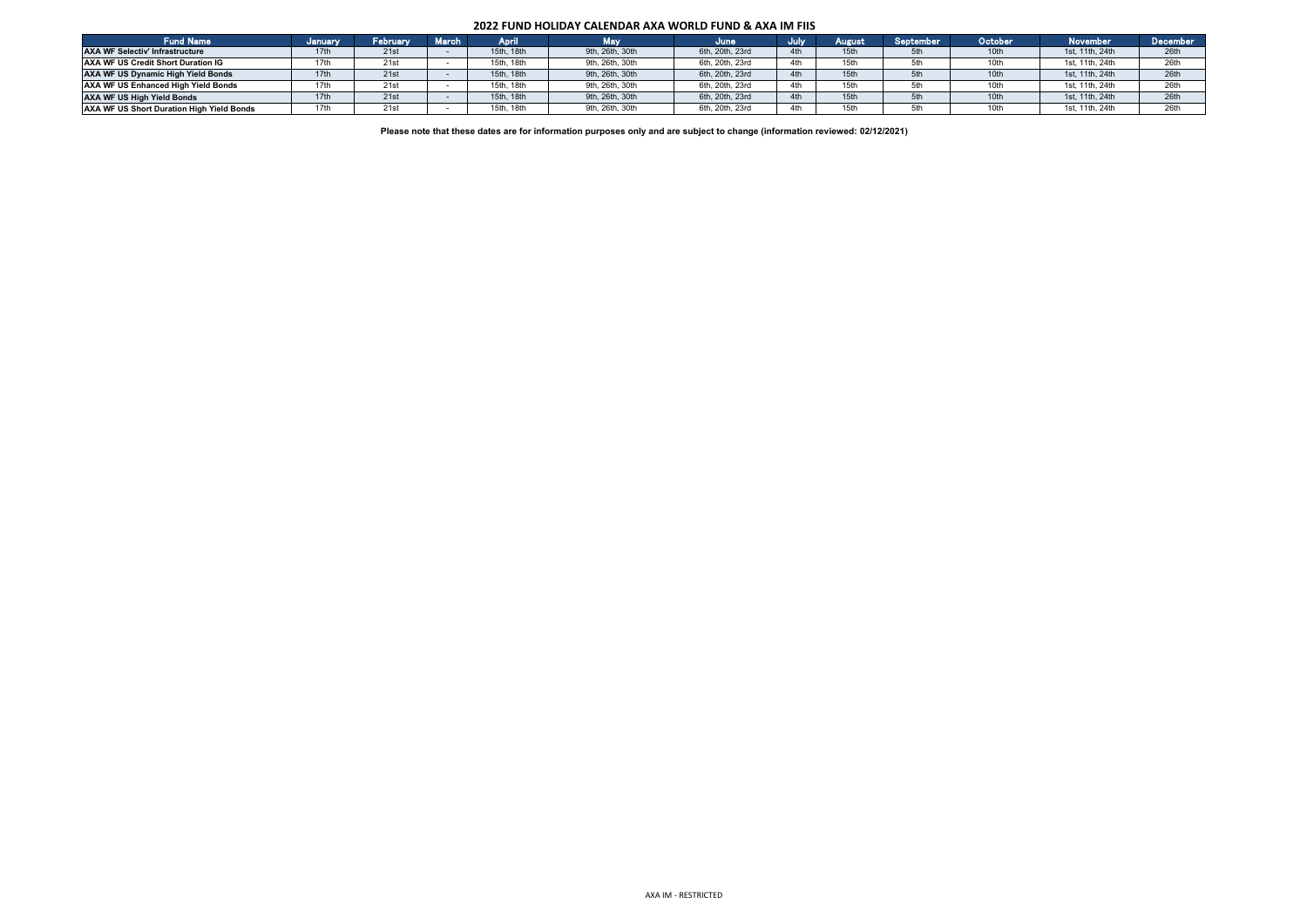## **2022 FUND HOLIDAY CALENDAR AXA WORLD FUND & AXA IM FIIS**

| <b>Fund Name</b>                          | <b>January</b> | February | <b>March</b> | April          | Vlav            | June            | July | August | September | October | <b>November</b> | December |
|-------------------------------------------|----------------|----------|--------------|----------------|-----------------|-----------------|------|--------|-----------|---------|-----------------|----------|
| <b>AXA WF Selectiv' Infrastructure</b>    |                | 21st     |              | 15th, 18th     | 9th, 26th, 30th | 6th, 20th, 23rd |      |        |           | 10th    | 1st. 11th, 24th | 26th     |
| AXA WF US Credit Short Duration IG        |                | 21st     |              | . 18th<br>15th | 9th, 26th, 30th | 6th, 20th, 23rd |      | 5th    |           |         | 1st. 11th. 24th | 26th     |
| <b>AXA WF US Dynamic High Yield Bonds</b> |                | 21st     |              | 15th, 18th     | 9th, 26th, 30th | 6th, 20th, 23rd |      | 5th    | 5th       | 10th    | 1st. 11th, 24th | 26th     |
| AXA WF US Enhanced High Yield Bonds       |                | 21st     |              | . 18th<br>15th | 9th, 26th, 30th | 6th. 20th. 23rd |      |        |           |         | 1st. 11th. 24th | 26th     |
| <b>AXA WF US High Yield Bonds</b>         |                | 21st     |              | 15th, 18th     | 9th, 26th, 30th | 6th, 20th, 23rd |      |        | 5th       | 10th    | 1st. 11th, 24th | 26th     |
| AXA WF US Short Duration High Yield Bonds |                | 21st     |              | 18th<br>15th   | 9th, 26th, 30th | 6th, 20th, 23rd |      |        |           |         | 1st. 11th. 24th | 26th     |

**Please note that these dates are for information purposes only and are subject to change (information reviewed: 02/12/2021)**